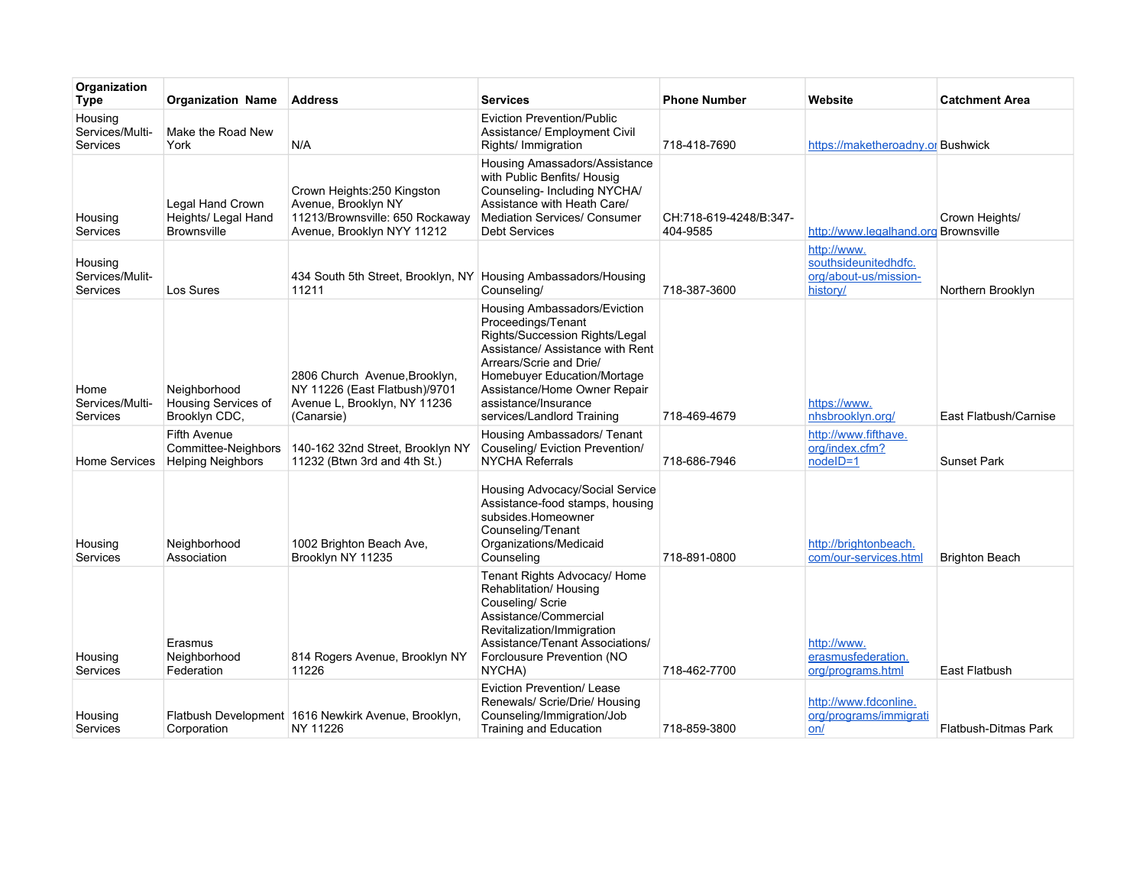| Organization<br><b>Type</b>            | <b>Organization Name</b>                                               | <b>Address</b>                                                                                                      | <b>Services</b>                                                                                                                                                                                                                                                          | <b>Phone Number</b>                | Website                                                                  | <b>Catchment Area</b>       |
|----------------------------------------|------------------------------------------------------------------------|---------------------------------------------------------------------------------------------------------------------|--------------------------------------------------------------------------------------------------------------------------------------------------------------------------------------------------------------------------------------------------------------------------|------------------------------------|--------------------------------------------------------------------------|-----------------------------|
| Housing<br>Services/Multi-<br>Services | Make the Road New<br>York                                              | N/A                                                                                                                 | <b>Eviction Prevention/Public</b><br>Assistance/ Employment Civil<br>Rights/ Immigration                                                                                                                                                                                 | 718-418-7690                       | https://maketheroadny.or Bushwick                                        |                             |
| Housing<br>Services                    | Legal Hand Crown<br>Heights/ Legal Hand<br><b>Brownsville</b>          | Crown Heights: 250 Kingston<br>Avenue, Brooklyn NY<br>11213/Brownsville: 650 Rockaway<br>Avenue, Brooklyn NYY 11212 | Housing Amassadors/Assistance<br>with Public Benfits/ Housig<br>Counseling- Including NYCHA/<br>Assistance with Heath Care/<br><b>Mediation Services/ Consumer</b><br><b>Debt Services</b>                                                                               | CH:718-619-4248/B:347-<br>404-9585 | http://www.legalhand.org Brownsville                                     | Crown Heights/              |
| Housing<br>Services/Mulit-<br>Services | Los Sures                                                              | 434 South 5th Street, Brooklyn, NY Housing Ambassadors/Housing<br>11211                                             | Counseling/                                                                                                                                                                                                                                                              | 718-387-3600                       | http://www.<br>southsideunitedhdfc.<br>org/about-us/mission-<br>history/ | Northern Brooklyn           |
| Home<br>Services/Multi-<br>Services    | Neighborhood<br>Housing Services of<br>Brooklyn CDC,                   | 2806 Church Avenue, Brooklyn,<br>NY 11226 (East Flatbush)/9701<br>Avenue L, Brooklyn, NY 11236<br>(Canarsie)        | Housing Ambassadors/Eviction<br>Proceedings/Tenant<br>Rights/Succession Rights/Legal<br>Assistance/ Assistance with Rent<br>Arrears/Scrie and Drie/<br>Homebuyer Education/Mortage<br>Assistance/Home Owner Repair<br>assistance/Insurance<br>services/Landlord Training | 718-469-4679                       | https://www.<br>nhsbrooklyn.org/                                         | East Flatbush/Carnise       |
| <b>Home Services</b>                   | <b>Fifth Avenue</b><br>Committee-Neighbors<br><b>Helping Neighbors</b> | 140-162 32nd Street, Brooklyn NY<br>11232 (Btwn 3rd and 4th St.)                                                    | Housing Ambassadors/ Tenant<br>Couseling/ Eviction Prevention/<br><b>NYCHA Referrals</b>                                                                                                                                                                                 | 718-686-7946                       | http://www.fifthave.<br>org/index.cfm?<br>nodelD=1                       | <b>Sunset Park</b>          |
| Housing<br>Services                    | Neighborhood<br>Association                                            | 1002 Brighton Beach Ave.<br>Brooklyn NY 11235                                                                       | Housing Advocacy/Social Service<br>Assistance-food stamps, housing<br>subsides.Homeowner<br>Counseling/Tenant<br>Organizations/Medicaid<br>Counseling                                                                                                                    | 718-891-0800                       | http://brightonbeach.<br>com/our-services.html                           | <b>Brighton Beach</b>       |
| Housing<br>Services                    | Erasmus<br>Neighborhood<br>Federation                                  | 814 Rogers Avenue, Brooklyn NY<br>11226                                                                             | Tenant Rights Advocacy/ Home<br>Rehablitation/ Housing<br>Couseling/ Scrie<br>Assistance/Commercial<br>Revitalization/Immigration<br>Assistance/Tenant Associations/<br>Forclousure Prevention (NO<br>NYCHA)                                                             | 718-462-7700                       | http://www.<br>erasmusfederation.<br>org/programs.html                   | East Flatbush               |
| Housing<br>Services                    | Corporation                                                            | Flatbush Development 1616 Newkirk Avenue, Brooklyn,<br>NY 11226                                                     | Eviction Prevention/ Lease<br>Renewals/ Scrie/Drie/ Housing<br>Counseling/Immigration/Job<br><b>Training and Education</b>                                                                                                                                               | 718-859-3800                       | http://www.fdconline.<br>org/programs/immigrati<br>on/                   | <b>Flatbush-Ditmas Park</b> |